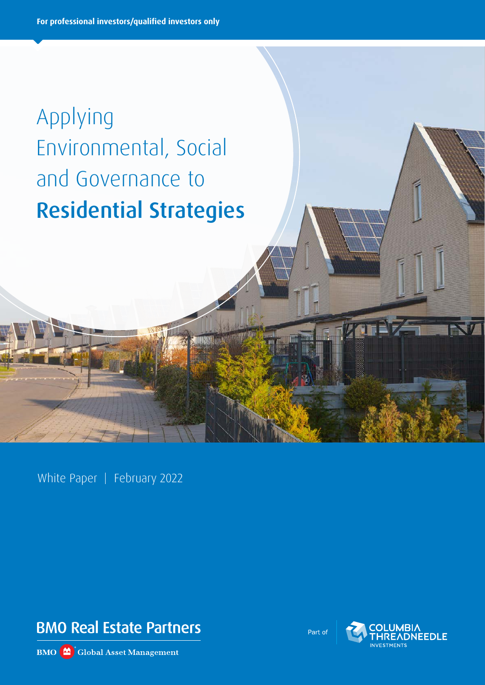# Applying Environmental, Social and Governance to Residential Strategies

White Paper | February 2022



**BMO** Global Asset Management

Part of

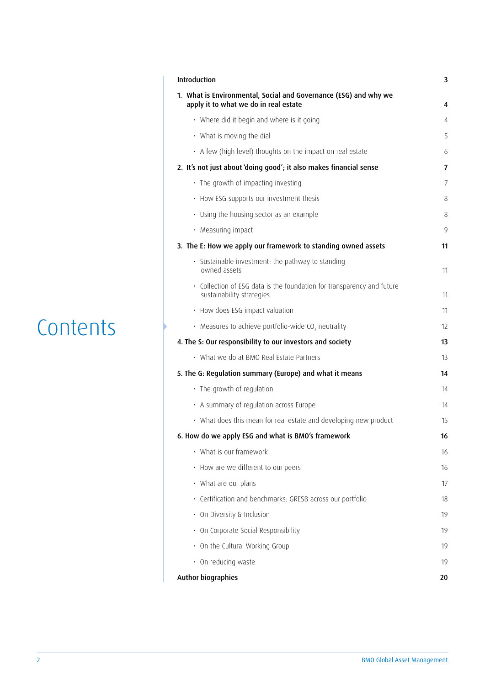### **Contents**

| Introduction                                                                                              | 3  |
|-----------------------------------------------------------------------------------------------------------|----|
| 1. What is Environmental, Social and Governance (ESG) and why we<br>apply it to what we do in real estate | 4  |
| • Where did it begin and where is it going                                                                | 4  |
| $\cdot$ What is moving the dial                                                                           | 5  |
| • A few (high level) thoughts on the impact on real estate                                                | 6  |
| 2. It's not just about 'doing good'; it also makes financial sense                                        | 7  |
| · The growth of impacting investing                                                                       | 7  |
| • How ESG supports our investment thesis                                                                  | 8  |
| • Using the housing sector as an example                                                                  | 8  |
| · Measuring impact                                                                                        | 9  |
| 3. The E: How we apply our framework to standing owned assets                                             | 11 |
| · Sustainable investment: the pathway to standing<br>owned assets                                         | 11 |
| • Collection of ESG data is the foundation for transparency and future<br>sustainability strategies       | 11 |
| • How does ESG impact valuation                                                                           | 11 |
| $\cdot$ Measures to achieve portfolio-wide CO <sub>2</sub> neutrality                                     | 12 |
| 4. The S: Our responsibility to our investors and society                                                 | 13 |
| • What we do at BMO Real Estate Partners                                                                  | 13 |
| 5. The G: Regulation summary (Europe) and what it means                                                   | 14 |
| · The growth of regulation                                                                                | 14 |
| • A summary of regulation across Europe                                                                   | 14 |
| • What does this mean for real estate and developing new product                                          | 15 |
| 6. How do we apply ESG and what is BMO's framework                                                        | 16 |
| • What is our framework                                                                                   | 16 |
| • How are we different to our peers                                                                       | 16 |
| • What are our plans                                                                                      | 17 |
| · Certification and benchmarks: GRESB across our portfolio                                                | 18 |
| • On Diversity & Inclusion                                                                                | 19 |
| · On Corporate Social Responsibility                                                                      | 19 |
| • On the Cultural Working Group                                                                           | 19 |
| · On reducing waste                                                                                       | 19 |
| Author biographies                                                                                        | 20 |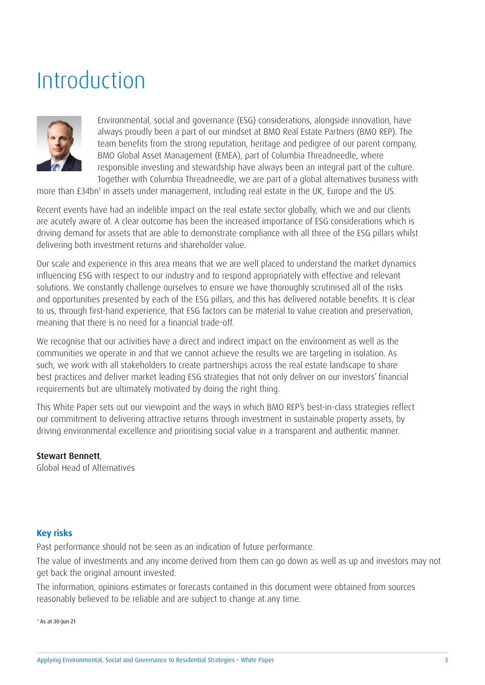### Introduction



Environmental, social and governance (ESG) considerations, alongside innovation, have always proudly been a part of our mindset at BMO Real Estate Partners (BMO REP). The team benefits from the strong reputation, heritage and pedigree of our parent company, BMO Global Asset Management (EMEA), part of Columbia Threadneedle, where responsible investing and stewardship have always been an integral part of the culture. Together with Columbia Threadneedle, we are part of a global alternatives business with

more than £34bn<sup>1</sup> in assets under management, including real estate in the UK, Europe and the US.

Recent events have had an indelible impact on the real estate sector globally, which we and our clients are acutely aware of. A clear outcome has been the increased importance of ESG considerations which is driving demand for assets that are able to demonstrate compliance with all three of the ESG pillars whilst delivering both investment returns and shareholder value.

Our scale and experience in this area means that we are well placed to understand the market dynamics influencing ESG with respect to our industry and to respond appropriately with effective and relevant solutions. We constantly challenge ourselves to ensure we have thoroughly scrutinised all of the risks and opportunities presented by each of the ESG pillars, and this has delivered notable benefits. It is clear to us, through first-hand experience, that ESG factors can be material to value creation and preservation, meaning that there is no need for a financial trade-off.

We recognise that our activities have a direct and indirect impact on the environment as well as the communities we operate in and that we cannot achieve the results we are targeting in isolation. As such, we work with all stakeholders to create partnerships across the real estate landscape to share best practices and deliver market leading ESG strategies that not only deliver on our investors' financial requirements but are ultimately motivated by doing the right thing.

This White Paper sets out our viewpoint and the ways in which BMO REP's best-in-class strategies reflect our commitment to delivering attractive returns through investment in sustainable property assets, by driving environmental excellence and prioritising social value in a transparent and authentic manner.

### Stewart Bennett,

Global Head of Alternatives

### **Key risks**

Past performance should not be seen as an indication of future performance.

The value of investments and any income derived from them can go down as well as up and investors may not get back the original amount invested.

The information, opinions estimates or forecasts contained in this document were obtained from sources reasonably believed to be reliable and are subject to change at any time.

1 As at 30-Jun-21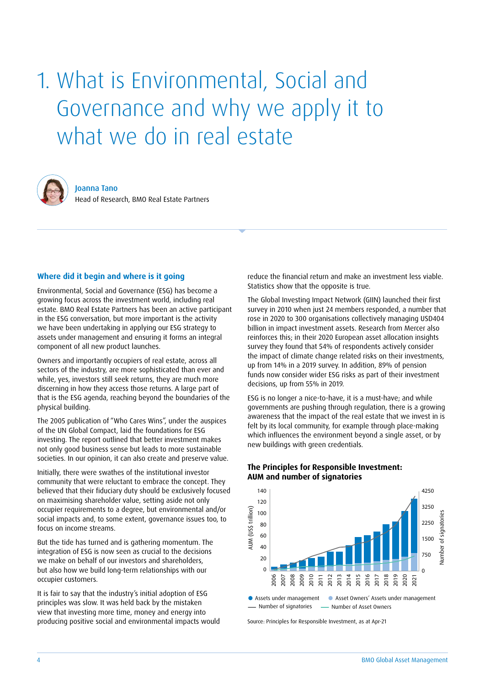## 1. What is Environmental, Social and Governance and why we apply it to what we do in real estate



Joanna Tano Head of Research, BMO Real Estate Partners

### **Where did it begin and where is it going**

Environmental, Social and Governance (ESG) has become a growing focus across the investment world, including real estate. BMO Real Estate Partners has been an active participant in the ESG conversation, but more important is the activity we have been undertaking in applying our ESG strategy to assets under management and ensuring it forms an integral component of all new product launches.

Owners and importantly occupiers of real estate, across all sectors of the industry, are more sophisticated than ever and while, yes, investors still seek returns, they are much more discerning in how they access those returns. A large part of that is the ESG agenda, reaching beyond the boundaries of the physical building.

The 2005 publication of "Who Cares Wins", under the auspices of the UN Global Compact, laid the foundations for ESG investing. The report outlined that better investment makes not only good business sense but leads to more sustainable societies. In our opinion, it can also create and preserve value.

Initially, there were swathes of the institutional investor community that were reluctant to embrace the concept. They believed that their fiduciary duty should be exclusively focused on maximising shareholder value, setting aside not only occupier requirements to a degree, but environmental and/or social impacts and, to some extent, governance issues too, to focus on income streams.

But the tide has turned and is gathering momentum. The integration of ESG is now seen as crucial to the decisions we make on behalf of our investors and shareholders, but also how we build long-term relationships with our occupier customers.

It is fair to say that the industry's initial adoption of ESG principles was slow. It was held back by the mistaken view that investing more time, money and energy into producing positive social and environmental impacts would reduce the financial return and make an investment less viable. Statistics show that the opposite is true.

The Global Investing Impact Network (GIIN) launched their first survey in 2010 when just 24 members responded, a number that rose in 2020 to 300 organisations collectively managing USD404 billion in impact investment assets. Research from Mercer also reinforces this; in their 2020 European asset allocation insights survey they found that 54% of respondents actively consider the impact of climate change related risks on their investments, up from 14% in a 2019 survey. In addition, 89% of pension funds now consider wider ESG risks as part of their investment decisions, up from 55% in 2019.

ESG is no longer a nice-to-have, it is a must-have; and while governments are pushing through regulation, there is a growing awareness that the impact of the real estate that we invest in is felt by its local community, for example through place-making which influences the environment beyond a single asset, or by new buildings with green credentials.



**The Principles for Responsible Investment: AUM and number of signatories**

Source: Principles for Responsible Investment, as at Apr-21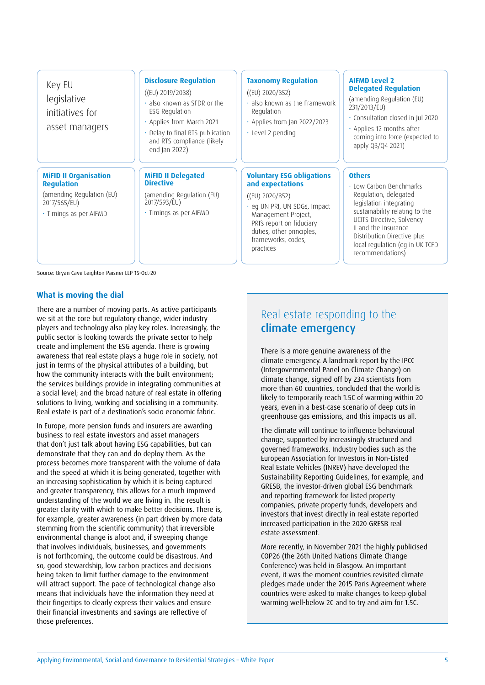Key EU legislative initiatives for asset managers

### **MiFID II Organisation Regulation**

(amending Regulation (EU) 2017/565/EU)

• Timings as per AIFMD

### **Disclosure Regulation**

((EU) 2019/2088)

- also known as SFDR or the ESG Regulation
- Applies from March 2021
- Delay to final RTS publication and RTS compliance (likely end Jan 2022)

#### **MiFID II Delegated Directive**

(amending Regulation (EU) 2017/593/EU)

• Timings as per AIFMD

### **Taxonomy Regulation**

### ((EU) 2020/852)

- also known as the Framework Regulation
- Applies from Jan 2022/2023
- Level 2 pending

### **Voluntary ESG obligations and expectations**

### ((EU) 2020/852)

• eg UN PRI, UN SDGs, Impact Management Project, PRI's report on fiduciary duties, other principles, frameworks, codes, practices

### **AIFMD Level 2 Delegated Regulation**

(amending Regulation (EU) 231/2013/EU)

- Consultation closed in Jul 2020
- Applies 12 months after coming into force (expected to apply Q3/Q4 2021)

### **Others**

• Low Carbon Benchmarks Regulation, delegated legislation integrating sustainability relating to the UCITS Directive, Solvency II and the Insurance Distribution Directive plus local regulation (eg in UK TCFD recommendations)

Source: Bryan Cave Leighton Paisner LLP 15-Oct-20

### **What is moving the dial**

There are a number of moving parts. As active participants we sit at the core but regulatory change, wider industry players and technology also play key roles. Increasingly, the public sector is looking towards the private sector to help create and implement the ESG agenda. There is growing awareness that real estate plays a huge role in society, not just in terms of the physical attributes of a building, but how the community interacts with the built environment; the services buildings provide in integrating communities at a social level; and the broad nature of real estate in offering solutions to living, working and socialising in a community. Real estate is part of a destination's socio economic fabric.

In Europe, more pension funds and insurers are awarding business to real estate investors and asset managers that don't just talk about having ESG capabilities, but can demonstrate that they can and do deploy them. As the process becomes more transparent with the volume of data and the speed at which it is being generated, together with an increasing sophistication by which it is being captured and greater transparency, this allows for a much improved understanding of the world we are living in. The result is greater clarity with which to make better decisions. There is, for example, greater awareness (in part driven by more data stemming from the scientific community) that irreversible environmental change is afoot and, if sweeping change that involves individuals, businesses, and governments is not forthcoming, the outcome could be disastrous. And so, good stewardship, low carbon practices and decisions being taken to limit further damage to the environment will attract support. The pace of technological change also means that individuals have the information they need at their fingertips to clearly express their values and ensure their financial investments and savings are reflective of those preferences.

### Real estate responding to the climate emergency

There is a more genuine awareness of the climate emergency. A landmark report by the IPCC (Intergovernmental Panel on Climate Change) on climate change, signed off by 234 scientists from more than 60 countries, concluded that the world is likely to temporarily reach 1.5C of warming within 20 years, even in a best-case scenario of deep cuts in greenhouse gas emissions, and this impacts us all.

The climate will continue to influence behavioural change, supported by increasingly structured and governed frameworks. Industry bodies such as the European Association for Investors in Non-Listed Real Estate Vehicles (INREV) have developed the Sustainability Reporting Guidelines, for example, and GRESB, the investor-driven global ESG benchmark and reporting framework for listed property companies, private property funds, developers and investors that invest directly in real estate reported increased participation in the 2020 GRESB real estate assessment.

More recently, in November 2021 the highly publicised COP26 (the 26th United Nations Climate Change Conference) was held in Glasgow. An important event, it was the moment countries revisited climate pledges made under the 2015 Paris Agreement where countries were asked to make changes to keep global warming well-below 2C and to try and aim for 1.5C.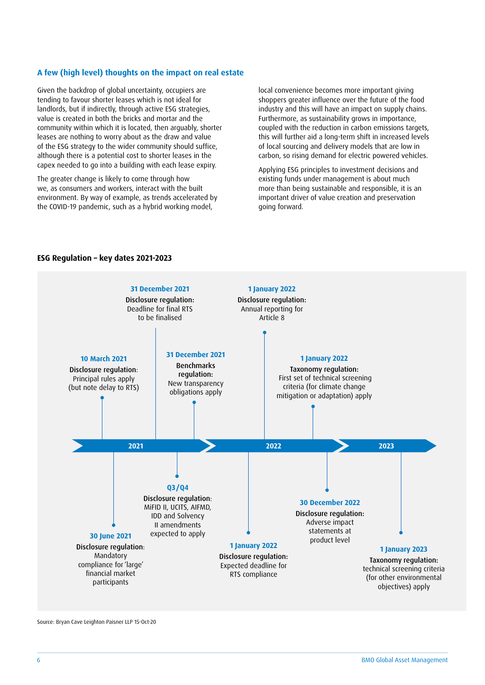### **A few (high level) thoughts on the impact on real estate**

Given the backdrop of global uncertainty, occupiers are tending to favour shorter leases which is not ideal for landlords, but if indirectly, through active ESG strategies, value is created in both the bricks and mortar and the community within which it is located, then arguably, shorter leases are nothing to worry about as the draw and value of the ESG strategy to the wider community should suffice, although there is a potential cost to shorter leases in the capex needed to go into a building with each lease expiry.

The greater change is likely to come through how we, as consumers and workers, interact with the built environment. By way of example, as trends accelerated by the COVID-19 pandemic, such as a hybrid working model,

local convenience becomes more important giving shoppers greater influence over the future of the food industry and this will have an impact on supply chains. Furthermore, as sustainability grows in importance, coupled with the reduction in carbon emissions targets, this will further aid a long-term shift in increased levels of local sourcing and delivery models that are low in carbon, so rising demand for electric powered vehicles.

Applying ESG principles to investment decisions and existing funds under management is about much more than being sustainable and responsible, it is an important driver of value creation and preservation going forward.



### **ESG Regulation – key dates 2021-2023**

Source: Bryan Cave Leighton Paisner LLP 15-Oct-20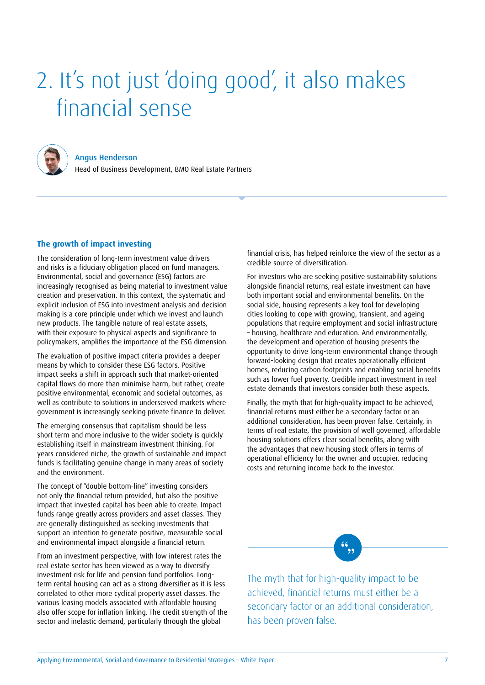## 2. It's not just 'doing good', it also makes financial sense



### Angus Henderson

Head of Business Development, BMO Real Estate Partners

### **The growth of impact investing**

The consideration of long-term investment value drivers and risks is a fiduciary obligation placed on fund managers. Environmental, social and governance (ESG) factors are increasingly recognised as being material to investment value creation and preservation. In this context, the systematic and explicit inclusion of ESG into investment analysis and decision making is a core principle under which we invest and launch new products. The tangible nature of real estate assets, with their exposure to physical aspects and significance to policymakers, amplifies the importance of the ESG dimension.

The evaluation of positive impact criteria provides a deeper means by which to consider these ESG factors. Positive impact seeks a shift in approach such that market-oriented capital flows do more than minimise harm, but rather, create positive environmental, economic and societal outcomes, as well as contribute to solutions in underserved markets where government is increasingly seeking private finance to deliver.

The emerging consensus that capitalism should be less short term and more inclusive to the wider society is quickly establishing itself in mainstream investment thinking. For years considered niche, the growth of sustainable and impact funds is facilitating genuine change in many areas of society and the environment.

The concept of "double bottom-line" investing considers not only the financial return provided, but also the positive impact that invested capital has been able to create. Impact funds range greatly across providers and asset classes. They are generally distinguished as seeking investments that support an intention to generate positive, measurable social and environmental impact alongside a financial return.

From an investment perspective, with low interest rates the real estate sector has been viewed as a way to diversify investment risk for life and pension fund portfolios. Longterm rental housing can act as a strong diversifier as it is less correlated to other more cyclical property asset classes. The various leasing models associated with affordable housing also offer scope for inflation linking. The credit strength of the sector and inelastic demand, particularly through the global

financial crisis, has helped reinforce the view of the sector as a credible source of diversification.

For investors who are seeking positive sustainability solutions alongside financial returns, real estate investment can have both important social and environmental benefits. On the social side, housing represents a key tool for developing cities looking to cope with growing, transient, and ageing populations that require employment and social infrastructure – housing, healthcare and education. And environmentally, the development and operation of housing presents the opportunity to drive long-term environmental change through forward-looking design that creates operationally efficient homes, reducing carbon footprints and enabling social benefits such as lower fuel poverty. Credible impact investment in real estate demands that investors consider both these aspects.

Finally, the myth that for high-quality impact to be achieved, financial returns must either be a secondary factor or an additional consideration, has been proven false. Certainly, in terms of real estate, the provision of well governed, affordable housing solutions offers clear social benefits, along with the advantages that new housing stock offers in terms of operational efficiency for the owner and occupier, reducing costs and returning income back to the investor.

The myth that for high-quality impact to be achieved, financial returns must either be a secondary factor or an additional consideration, has been proven false.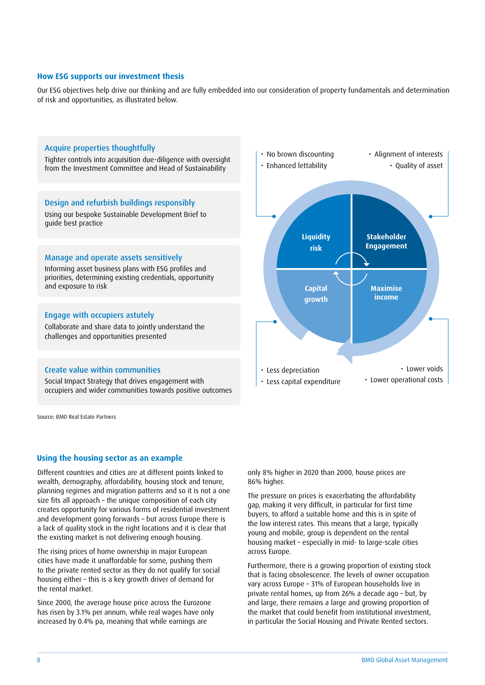### **How ESG supports our investment thesis**

Our ESG objectives help drive our thinking and are fully embedded into our consideration of property fundamentals and determination of risk and opportunities, as illustrated below.

### Acquire properties thoughtfully

Tighter controls into acquisition due-diligence with oversight from the Investment Committee and Head of Sustainability

### Design and refurbish buildings responsibly

Using our bespoke Sustainable Development Brief to guide best practice

#### Manage and operate assets sensitively

Informing asset business plans with ESG profiles and priorities, determining existing credentials, opportunity and exposure to risk

### Engage with occupiers astutely

Collaborate and share data to jointly understand the challenges and opportunities presented

### Create value within communities

Social Impact Strategy that drives engagement with occupiers and wider communities towards positive outcomes

Source: BMO Real Estate Partners

#### **Using the housing sector as an example**

Different countries and cities are at different points linked to wealth, demography, affordability, housing stock and tenure, planning regimes and migration patterns and so it is not a one size fits all approach – the unique composition of each city creates opportunity for various forms of residential investment and development going forwards – but across Europe there is a lack of quality stock in the right locations and it is clear that the existing market is not delivering enough housing.

The rising prices of home ownership in major European cities have made it unaffordable for some, pushing them to the private rented sector as they do not qualify for social housing either – this is a key growth driver of demand for the rental market.

Since 2000, the average house price across the Eurozone has risen by 3.1% per annum, while real wages have only increased by 0.4% pa, meaning that while earnings are



only 8% higher in 2020 than 2000, house prices are 86% higher.

The pressure on prices is exacerbating the affordability gap, making it very difficult, in particular for first time buyers, to afford a suitable home and this is in spite of the low interest rates. This means that a large, typically young and mobile, group is dependent on the rental housing market – especially in mid- to large-scale cities across Europe.

Furthermore, there is a growing proportion of existing stock that is facing obsolescence. The levels of owner occupation vary across Europe – 31% of European households live in private rental homes, up from 26% a decade ago – but, by and large, there remains a large and growing proportion of the market that could benefit from institutional investment, in particular the Social Housing and Private Rented sectors.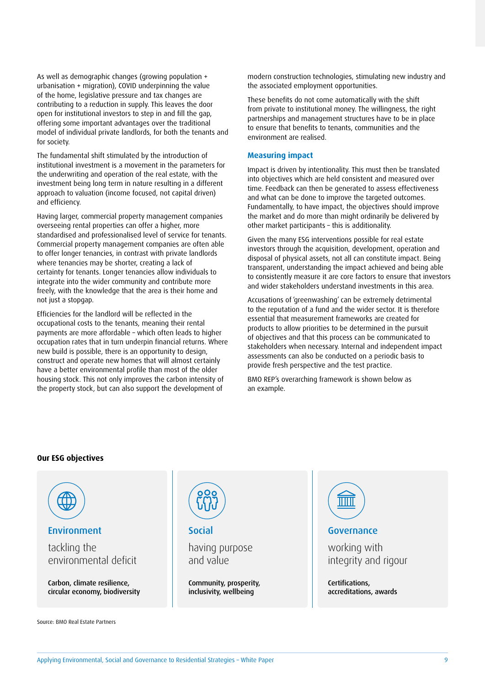As well as demographic changes (growing population + urbanisation + migration), COVID underpinning the value of the home, legislative pressure and tax changes are contributing to a reduction in supply. This leaves the door open for institutional investors to step in and fill the gap, offering some important advantages over the traditional model of individual private landlords, for both the tenants and for society.

The fundamental shift stimulated by the introduction of institutional investment is a movement in the parameters for the underwriting and operation of the real estate, with the investment being long term in nature resulting in a different approach to valuation (income focused, not capital driven) and efficiency.

Having larger, commercial property management companies overseeing rental properties can offer a higher, more standardised and professionalised level of service for tenants. Commercial property management companies are often able to offer longer tenancies, in contrast with private landlords where tenancies may be shorter, creating a lack of certainty for tenants. Longer tenancies allow individuals to integrate into the wider community and contribute more freely, with the knowledge that the area is their home and not just a stopgap.

Efficiencies for the landlord will be reflected in the occupational costs to the tenants, meaning their rental payments are more affordable – which often leads to higher occupation rates that in turn underpin financial returns. Where new build is possible, there is an opportunity to design, construct and operate new homes that will almost certainly have a better environmental profile than most of the older housing stock. This not only improves the carbon intensity of the property stock, but can also support the development of

modern construction technologies, stimulating new industry and the associated employment opportunities.

These benefits do not come automatically with the shift from private to institutional money. The willingness, the right partnerships and management structures have to be in place to ensure that benefits to tenants, communities and the environment are realised.

### **Measuring impact**

Impact is driven by intentionality. This must then be translated into objectives which are held consistent and measured over time. Feedback can then be generated to assess effectiveness and what can be done to improve the targeted outcomes. Fundamentally, to have impact, the objectives should improve the market and do more than might ordinarily be delivered by other market participants – this is additionality.

Given the many ESG interventions possible for real estate investors through the acquisition, development, operation and disposal of physical assets, not all can constitute impact. Being transparent, understanding the impact achieved and being able to consistently measure it are core factors to ensure that investors and wider stakeholders understand investments in this area.

Accusations of 'greenwashing' can be extremely detrimental to the reputation of a fund and the wider sector. It is therefore essential that measurement frameworks are created for products to allow priorities to be determined in the pursuit of objectives and that this process can be communicated to stakeholders when necessary. Internal and independent impact assessments can also be conducted on a periodic basis to provide fresh perspective and the test practice.

BMO REP's overarching framework is shown below as an example.

### **Our ESG objectives**



Source: BMO Real Estate Partners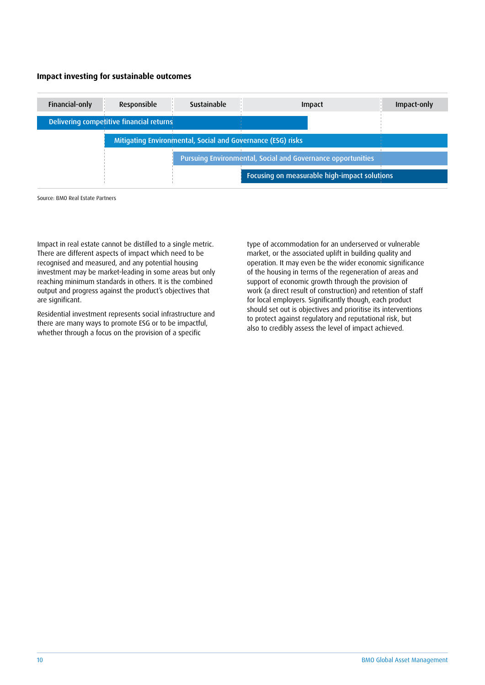### **Impact investing for sustainable outcomes**

| Financial-only | Responsible                                                 | <b>Sustainable</b>                                          |  | <b>Impact</b>                                | Impact-only |
|----------------|-------------------------------------------------------------|-------------------------------------------------------------|--|----------------------------------------------|-------------|
|                | Delivering competitive financial returns                    |                                                             |  |                                              |             |
|                | Mitigating Environmental, Social and Governance (ESG) risks |                                                             |  |                                              |             |
|                |                                                             | Pursuing Environmental, Social and Governance opportunities |  |                                              |             |
|                |                                                             |                                                             |  | Focusing on measurable high-impact solutions |             |

Source: BMO Real Estate Partners

Impact in real estate cannot be distilled to a single metric. There are different aspects of impact which need to be recognised and measured, and any potential housing investment may be market-leading in some areas but only reaching minimum standards in others. It is the combined output and progress against the product's objectives that are significant.

Residential investment represents social infrastructure and there are many ways to promote ESG or to be impactful, whether through a focus on the provision of a specific

type of accommodation for an underserved or vulnerable market, or the associated uplift in building quality and operation. It may even be the wider economic significance of the housing in terms of the regeneration of areas and support of economic growth through the provision of work (a direct result of construction) and retention of staff for local employers. Significantly though, each product should set out is objectives and prioritise its interventions to protect against regulatory and reputational risk, but also to credibly assess the level of impact achieved.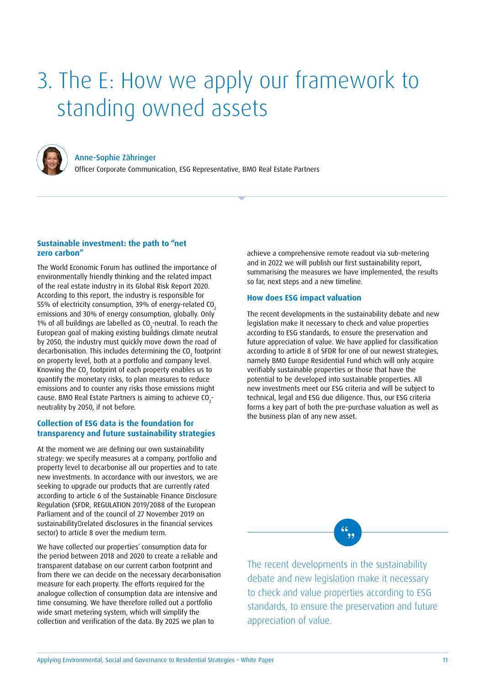## 3. The E: How we apply our framework to standing owned assets



Anne-Sophie Zähringer

Officer Corporate Communication, ESG Representative, BMO Real Estate Partners

### **Sustainable investment: the path to "net zero carbon"**

The World Economic Forum has outlined the importance of environmentally friendly thinking and the related impact of the real estate industry in its Global Risk Report 2020. According to this report, the industry is responsible for 55% of electricity consumption, 39% of energy-related CO<sub>2</sub> emissions and 30% of energy consumption, globally. Only 1% of all buildings are labelled as CO<sub>2</sub>-neutral. To reach the European goal of making existing buildings climate neutral by 2050, the industry must quickly move down the road of decarbonisation. This includes determining the CO<sub>2</sub> footprint on property level, both at a portfolio and company level. Knowing the CO<sub>2</sub> footprint of each property enables us to quantify the monetary risks, to plan measures to reduce emissions and to counter any risks those emissions might cause. BMO Real Estate Partners is aiming to achieve  $\mathfrak{co}_{2}$ neutrality by 2050, if not before.

### **Collection of ESG data is the foundation for transparency and future sustainability strategies**

At the moment we are defining our own sustainability strategy: we specify measures at a company, portfolio and property level to decarbonise all our properties and to rate new investments. In accordance with our investors, we are seeking to upgrade our products that are currently rated according to article 6 of the Sustainable Finance Disclosure Regulation (SFDR, REGULATION 2019/2088 of the European Parliament and of the council of 27 November 2019 on sustainability related disclosures in the financial services sector) to article 8 over the medium term.

We have collected our properties' consumption data for the period between 2018 and 2020 to create a reliable and transparent database on our current carbon footprint and from there we can decide on the necessary decarbonisation measure for each property. The efforts required for the analogue collection of consumption data are intensive and time consuming. We have therefore rolled out a portfolio wide smart metering system, which will simplify the collection and verification of the data. By 2025 we plan to

achieve a comprehensive remote readout via sub-metering and in 2022 we will publish our first sustainability report, summarising the measures we have implemented, the results so far, next steps and a new timeline.

### **How does ESG impact valuation**

The recent developments in the sustainability debate and new legislation make it necessary to check and value properties according to ESG standards, to ensure the preservation and future appreciation of value. We have applied for classification according to article 8 of SFDR for one of our newest strategies, namely BMO Europe Residential Fund which will only acquire verifiably sustainable properties or those that have the potential to be developed into sustainable properties. All new investments meet our ESG criteria and will be subject to technical, legal and ESG due diligence. Thus, our ESG criteria forms a key part of both the pre-purchase valuation as well as the business plan of any new asset.

The recent developments in the sustainability debate and new legislation make it necessary to check and value properties according to ESG standards, to ensure the preservation and future appreciation of value.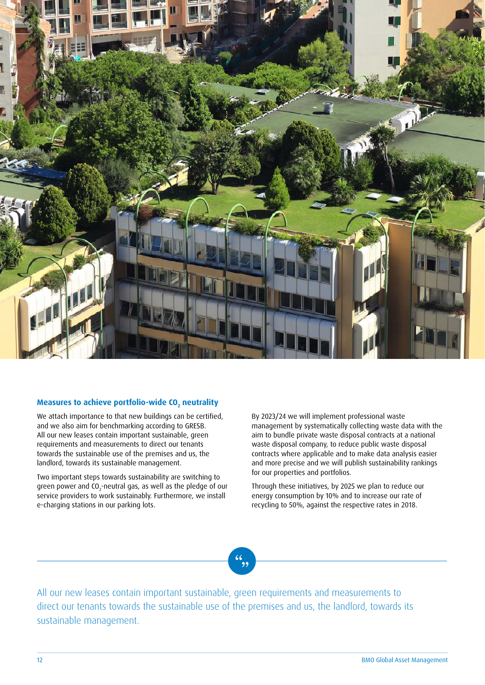

### Measures to achieve portfolio-wide CO<sub>2</sub> neutrality

We attach importance to that new buildings can be certified, and we also aim for benchmarking according to GRESB. All our new leases contain important sustainable, green requirements and measurements to direct our tenants towards the sustainable use of the premises and us, the landlord, towards its sustainable management.

Two important steps towards sustainability are switching to green power and CO $_2$ -neutral gas, as well as the pledge of our service providers to work sustainably. Furthermore, we install e-charging stations in our parking lots.

By 2023/24 we will implement professional waste management by systematically collecting waste data with the aim to bundle private waste disposal contracts at a national waste disposal company, to reduce public waste disposal contracts where applicable and to make data analysis easier and more precise and we will publish sustainability rankings for our properties and portfolios.

Through these initiatives, by 2025 we plan to reduce our energy consumption by 10% and to increase our rate of recycling to 50%, against the respective rates in 2018.

All our new leases contain important sustainable, green requirements and measurements to direct our tenants towards the sustainable use of the premises and us, the landlord, towards its sustainable management.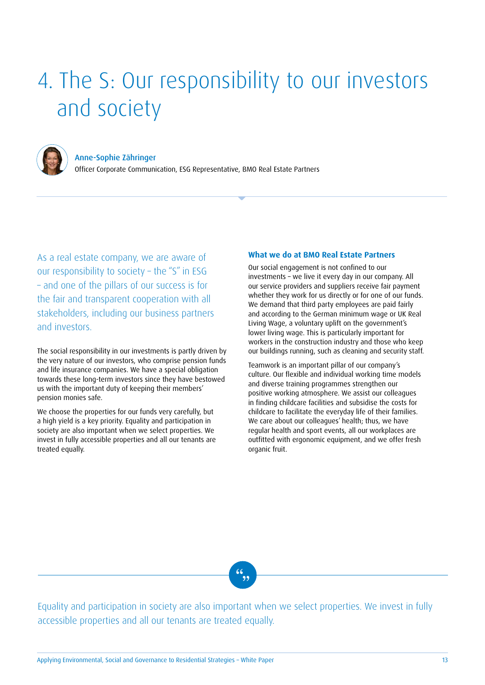## 4. The S: Our responsibility to our investors and society



Anne-Sophie Zähringer Officer Corporate Communication, ESG Representative, BMO Real Estate Partners

As a real estate company, we are aware of our responsibility to society – the "S" in ESG – and one of the pillars of our success is for the fair and transparent cooperation with all stakeholders, including our business partners and investors.

The social responsibility in our investments is partly driven by the very nature of our investors, who comprise pension funds and life insurance companies. We have a special obligation towards these long-term investors since they have bestowed us with the important duty of keeping their members' pension monies safe.

We choose the properties for our funds very carefully, but a high yield is a key priority. Equality and participation in society are also important when we select properties. We invest in fully accessible properties and all our tenants are treated equally.

### **What we do at BMO Real Estate Partners**

Our social engagement is not confined to our investments – we live it every day in our company. All our service providers and suppliers receive fair payment whether they work for us directly or for one of our funds. We demand that third party employees are paid fairly and according to the German minimum wage or UK Real Living Wage, a voluntary uplift on the government's lower living wage. This is particularly important for workers in the construction industry and those who keep our buildings running, such as cleaning and security staff.

Teamwork is an important pillar of our company's culture. Our flexible and individual working time models and diverse training programmes strengthen our positive working atmosphere. We assist our colleagues in finding childcare facilities and subsidise the costs for childcare to facilitate the everyday life of their families. We care about our colleagues' health; thus, we have regular health and sport events, all our workplaces are outfitted with ergonomic equipment, and we offer fresh organic fruit.

 $\left( \begin{matrix} 6 \\ 9 \end{matrix} \right)$ 

Equality and participation in society are also important when we select properties. We invest in fully accessible properties and all our tenants are treated equally.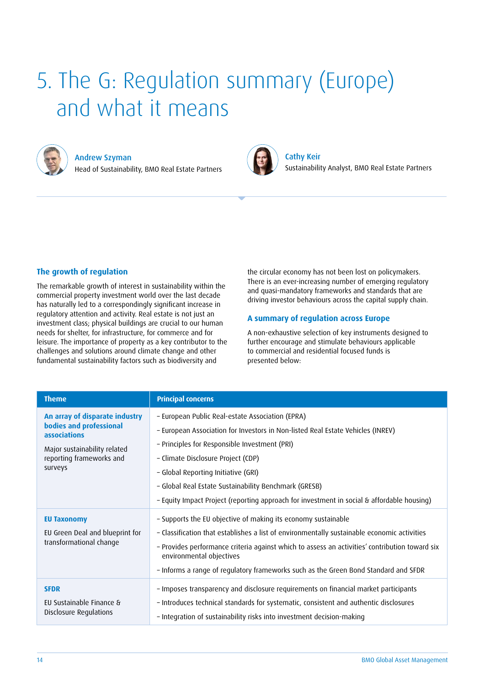## 5. The G: Regulation summary (Europe) and what it means



Andrew Szyman

Head of Sustainability, BMO Real Estate Partners



Cathy Keir Sustainability Analyst, BMO Real Estate Partners

### **The growth of regulation**

The remarkable growth of interest in sustainability within the commercial property investment world over the last decade has naturally led to a correspondingly significant increase in regulatory attention and activity. Real estate is not just an investment class; physical buildings are crucial to our human needs for shelter, for infrastructure, for commerce and for leisure. The importance of property as a key contributor to the challenges and solutions around climate change and other fundamental sustainability factors such as biodiversity and

the circular economy has not been lost on policymakers. There is an ever-increasing number of emerging regulatory and quasi-mandatory frameworks and standards that are driving investor behaviours across the capital supply chain.

### **A summary of regulation across Europe**

A non-exhaustive selection of key instruments designed to further encourage and stimulate behaviours applicable to commercial and residential focused funds is presented below:

| <b>Theme</b>                                                                                                                                     | <b>Principal concerns</b>                                                                                                                                                                                                                                                                                                                                                                                                |
|--------------------------------------------------------------------------------------------------------------------------------------------------|--------------------------------------------------------------------------------------------------------------------------------------------------------------------------------------------------------------------------------------------------------------------------------------------------------------------------------------------------------------------------------------------------------------------------|
| An array of disparate industry<br>bodies and professional<br>associations<br>Major sustainability related<br>reporting frameworks and<br>surveys | - European Public Real-estate Association (EPRA)<br>- European Association for Investors in Non-listed Real Estate Vehicles (INREV)<br>- Principles for Responsible Investment (PRI)<br>- Climate Disclosure Project (CDP)<br>- Global Reporting Initiative (GRI)<br>- Global Real Estate Sustainability Benchmark (GRESB)<br>- Equity Impact Project (reporting approach for investment in social & affordable housing) |
| <b>EU Taxonomy</b><br>EU Green Deal and blueprint for<br>transformational change                                                                 | - Supports the EU objective of making its economy sustainable<br>- Classification that establishes a list of environmentally sustainable economic activities<br>- Provides performance criteria against which to assess an activities' contribution toward six<br>environmental objectives<br>- Informs a range of regulatory frameworks such as the Green Bond Standard and SFDR                                        |
| <b>SFDR</b><br>EU Sustainable Finance &<br>Disclosure Regulations                                                                                | - Imposes transparency and disclosure requirements on financial market participants<br>- Introduces technical standards for systematic, consistent and authentic disclosures<br>- Integration of sustainability risks into investment decision-making                                                                                                                                                                    |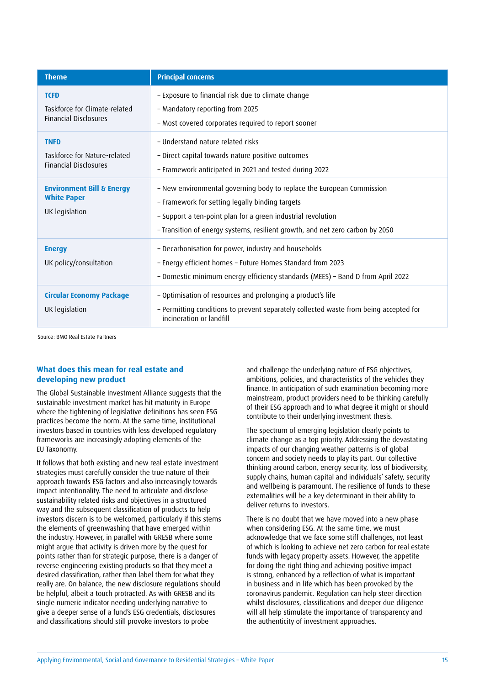| <b>Theme</b>                                                                 | <b>Principal concerns</b>                                                                                                                                                                                                                                                 |
|------------------------------------------------------------------------------|---------------------------------------------------------------------------------------------------------------------------------------------------------------------------------------------------------------------------------------------------------------------------|
| <b>TCFD</b><br>Taskforce for Climate-related<br><b>Financial Disclosures</b> | - Exposure to financial risk due to climate change<br>- Mandatory reporting from 2025<br>- Most covered corporates required to report sooner                                                                                                                              |
| <b>TNFD</b><br>Taskforce for Nature-related<br><b>Financial Disclosures</b>  | - Understand nature related risks<br>- Direct capital towards nature positive outcomes<br>- Framework anticipated in 2021 and tested during 2022                                                                                                                          |
| <b>Environment Bill &amp; Energy</b><br><b>White Paper</b><br>UK legislation | - New environmental governing body to replace the European Commission<br>- Framework for setting legally binding targets<br>- Support a ten-point plan for a green industrial revolution<br>- Transition of energy systems, resilient growth, and net zero carbon by 2050 |
| <b>Energy</b><br>UK policy/consultation                                      | - Decarbonisation for power, industry and households<br>- Energy efficient homes - Future Homes Standard from 2023<br>- Domestic minimum energy efficiency standards (MEES) - Band D from April 2022                                                                      |
| <b>Circular Economy Package</b><br>UK legislation                            | - Optimisation of resources and prolonging a product's life<br>- Permitting conditions to prevent separately collected waste from being accepted for<br>incineration or landfill                                                                                          |

Source: BMO Real Estate Partners

### **What does this mean for real estate and developing new product**

The Global Sustainable Investment Alliance suggests that the sustainable investment market has hit maturity in Europe where the tightening of legislative definitions has seen ESG practices become the norm. At the same time, institutional investors based in countries with less developed regulatory frameworks are increasingly adopting elements of the EU Taxonomy.

It follows that both existing and new real estate investment strategies must carefully consider the true nature of their approach towards ESG factors and also increasingly towards impact intentionality. The need to articulate and disclose sustainability related risks and objectives in a structured way and the subsequent classification of products to help investors discern is to be welcomed, particularly if this stems the elements of greenwashing that have emerged within the industry. However, in parallel with GRESB where some might argue that activity is driven more by the quest for points rather than for strategic purpose, there is a danger of reverse engineering existing products so that they meet a desired classification, rather than label them for what they really are. On balance, the new disclosure regulations should be helpful, albeit a touch protracted. As with GRESB and its single numeric indicator needing underlying narrative to give a deeper sense of a fund's ESG credentials, disclosures and classifications should still provoke investors to probe

and challenge the underlying nature of ESG objectives, ambitions, policies, and characteristics of the vehicles they finance. In anticipation of such examination becoming more mainstream, product providers need to be thinking carefully of their ESG approach and to what degree it might or should contribute to their underlying investment thesis.

The spectrum of emerging legislation clearly points to climate change as a top priority. Addressing the devastating impacts of our changing weather patterns is of global concern and society needs to play its part. Our collective thinking around carbon, energy security, loss of biodiversity, supply chains, human capital and individuals' safety, security and wellbeing is paramount. The resilience of funds to these externalities will be a key determinant in their ability to deliver returns to investors.

There is no doubt that we have moved into a new phase when considering ESG. At the same time, we must acknowledge that we face some stiff challenges, not least of which is looking to achieve net zero carbon for real estate funds with legacy property assets. However, the appetite for doing the right thing and achieving positive impact is strong, enhanced by a reflection of what is important in business and in life which has been provoked by the coronavirus pandemic. Regulation can help steer direction whilst disclosures, classifications and deeper due diligence will all help stimulate the importance of transparency and the authenticity of investment approaches.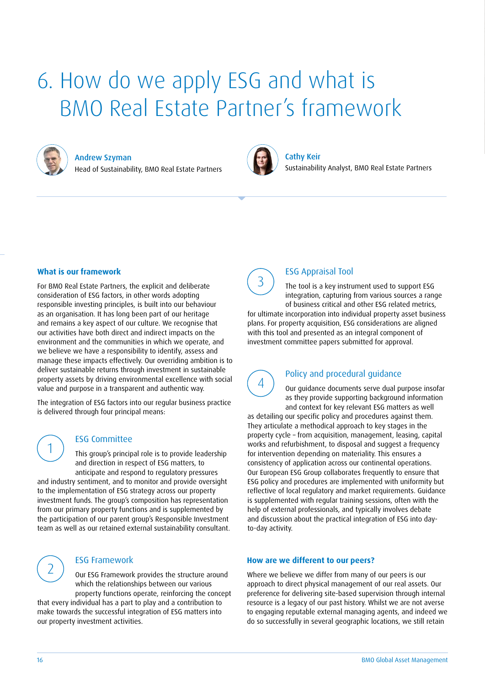### 6. How do we apply ESG and what is BMO Real Estate Partner's framework



Andrew Szyman

Head of Sustainability, BMO Real Estate Partners



Cathy Keir Sustainability Analyst, BMO Real Estate Partners

### **What is our framework**

For BMO Real Estate Partners, the explicit and deliberate consideration of ESG factors, in other words adopting responsible investing principles, is built into our behaviour as an organisation. It has long been part of our heritage and remains a key aspect of our culture. We recognise that our activities have both direct and indirect impacts on the environment and the communities in which we operate, and we believe we have a responsibility to identify, assess and manage these impacts effectively. Our overriding ambition is to deliver sustainable returns through investment in sustainable property assets by driving environmental excellence with social value and purpose in a transparent and authentic way.

The integration of ESG factors into our regular business practice is delivered through four principal means:

### ESG Committee

This group's principal role is to provide leadership and direction in respect of ESG matters, to anticipate and respond to regulatory pressures

and industry sentiment, and to monitor and provide oversight to the implementation of ESG strategy across our property investment funds. The group's composition has representation from our primary property functions and is supplemented by the participation of our parent group's Responsible Investment team as well as our retained external sustainability consultant.



1

### ESG Framework

Our ESG Framework provides the structure around which the relationships between our various property functions operate, reinforcing the concept

that every individual has a part to play and a contribution to make towards the successful integration of ESG matters into our property investment activities.



### ESG Appraisal Tool

The tool is a key instrument used to support ESG integration, capturing from various sources a range of business critical and other ESG related metrics,

for ultimate incorporation into individual property asset business plans. For property acquisition, ESG considerations are aligned with this tool and presented as an integral component of investment committee papers submitted for approval.

<sup>4</sup> Policy and procedural guidance Our guidance documents serve dual purpose insofar as they provide supporting background information and context for key relevant ESG matters as well

as detailing our specific policy and procedures against them. They articulate a methodical approach to key stages in the property cycle – from acquisition, management, leasing, capital works and refurbishment, to disposal and suggest a frequency for intervention depending on materiality. This ensures a consistency of application across our continental operations. Our European ESG Group collaborates frequently to ensure that ESG policy and procedures are implemented with uniformity but reflective of local regulatory and market requirements. Guidance is supplemented with regular training sessions, often with the help of external professionals, and typically involves debate and discussion about the practical integration of ESG into dayto-day activity.

#### **How are we different to our peers?**

Where we believe we differ from many of our peers is our approach to direct physical management of our real assets. Our preference for delivering site-based supervision through internal resource is a legacy of our past history. Whilst we are not averse to engaging reputable external managing agents, and indeed we do so successfully in several geographic locations, we still retain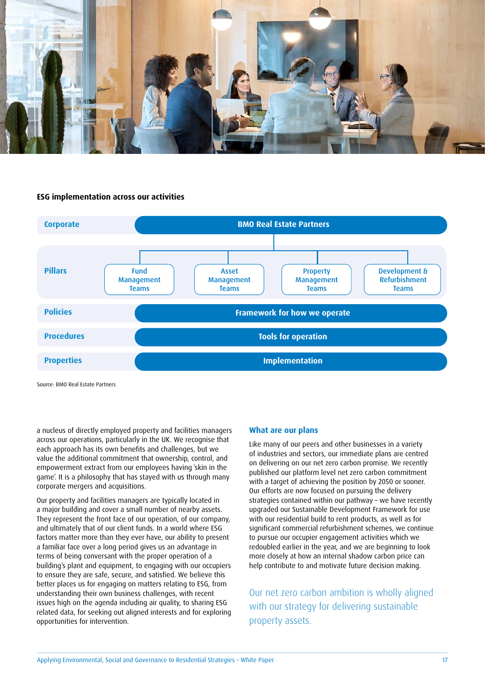

#### **ESG implementation across our activities**



Source: BMO Real Estate Partners

a nucleus of directly employed property and facilities managers across our operations, particularly in the UK. We recognise that each approach has its own benefits and challenges, but we value the additional commitment that ownership, control, and empowerment extract from our employees having 'skin in the game'. It is a philosophy that has stayed with us through many corporate mergers and acquisitions.

Our property and facilities managers are typically located in a major building and cover a small number of nearby assets. They represent the front face of our operation, of our company, and ultimately that of our client funds. In a world where ESG factors matter more than they ever have, our ability to present a familiar face over a long period gives us an advantage in terms of being conversant with the proper operation of a building's plant and equipment, to engaging with our occupiers to ensure they are safe, secure, and satisfied. We believe this better places us for engaging on matters relating to ESG, from understanding their own business challenges, with recent issues high on the agenda including air quality, to sharing ESG related data, for seeking out aligned interests and for exploring opportunities for intervention.

### **What are our plans**

Like many of our peers and other businesses in a variety of industries and sectors, our immediate plans are centred on delivering on our net zero carbon promise. We recently published our platform level net zero carbon commitment with a target of achieving the position by 2050 or sooner. Our efforts are now focused on pursuing the delivery strategies contained within our pathway – we have recently upgraded our Sustainable Development Framework for use with our residential build to rent products, as well as for significant commercial refurbishment schemes, we continue to pursue our occupier engagement activities which we redoubled earlier in the year, and we are beginning to look more closely at how an internal shadow carbon price can help contribute to and motivate future decision making.

Our net zero carbon ambition is wholly aligned with our strategy for delivering sustainable property assets.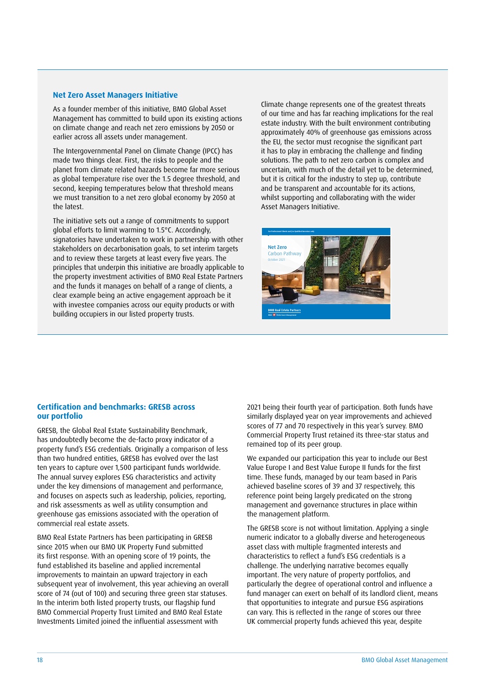### **Net Zero Asset Managers Initiative**

As a founder member of this initiative, BMO Global Asset Management has committed to build upon its existing actions on climate change and reach net zero emissions by 2050 or earlier across all assets under management.

The Intergovernmental Panel on Climate Change (IPCC) has made two things clear. First, the risks to people and the planet from climate related hazards become far more serious as global temperature rise over the 1.5 degree threshold, and second, keeping temperatures below that threshold means we must transition to a net zero global economy by 2050 at the latest.

The initiative sets out a range of commitments to support global efforts to limit warming to 1.5°C. Accordingly, signatories have undertaken to work in partnership with other stakeholders on decarbonisation goals, to set interim targets and to review these targets at least every five years. The principles that underpin this initiative are broadly applicable to the property investment activities of BMO Real Estate Partners and the funds it manages on behalf of a range of clients, a clear example being an active engagement approach be it with investee companies across our equity products or with building occupiers in our listed property trusts.

Climate change represents one of the greatest threats of our time and has far reaching implications for the real estate industry. With the built environment contributing approximately 40% of greenhouse gas emissions across the EU, the sector must recognise the significant part it has to play in embracing the challenge and finding solutions. The path to net zero carbon is complex and uncertain, with much of the detail yet to be determined, but it is critical for the industry to step up, contribute and be transparent and accountable for its actions, whilst supporting and collaborating with the wider Asset Managers Initiative.



### **Certification and benchmarks: GRESB across our portfolio**

GRESB, the Global Real Estate Sustainability Benchmark, has undoubtedly become the de-facto proxy indicator of a property fund's ESG credentials. Originally a comparison of less than two hundred entities, GRESB has evolved over the last ten years to capture over 1,500 participant funds worldwide. The annual survey explores ESG characteristics and activity under the key dimensions of management and performance, and focuses on aspects such as leadership, policies, reporting, and risk assessments as well as utility consumption and greenhouse gas emissions associated with the operation of commercial real estate assets.

BMO Real Estate Partners has been participating in GRESB since 2015 when our BMO UK Property Fund submitted its first response. With an opening score of 19 points, the fund established its baseline and applied incremental improvements to maintain an upward trajectory in each subsequent year of involvement, this year achieving an overall score of 74 (out of 100) and securing three green star statuses. In the interim both listed property trusts, our flagship fund BMO Commercial Property Trust Limited and BMO Real Estate Investments Limited joined the influential assessment with

2021 being their fourth year of participation. Both funds have similarly displayed year on year improvements and achieved scores of 77 and 70 respectively in this year's survey. BMO Commercial Property Trust retained its three-star status and remained top of its peer group.

We expanded our participation this year to include our Best Value Europe I and Best Value Europe II funds for the first time. These funds, managed by our team based in Paris achieved baseline scores of 39 and 37 respectively, this reference point being largely predicated on the strong management and governance structures in place within the management platform.

The GRESB score is not without limitation. Applying a single numeric indicator to a globally diverse and heterogeneous asset class with multiple fragmented interests and characteristics to reflect a fund's ESG credentials is a challenge. The underlying narrative becomes equally important. The very nature of property portfolios, and particularly the degree of operational control and influence a fund manager can exert on behalf of its landlord client, means that opportunities to integrate and pursue ESG aspirations can vary. This is reflected in the range of scores our three UK commercial property funds achieved this year, despite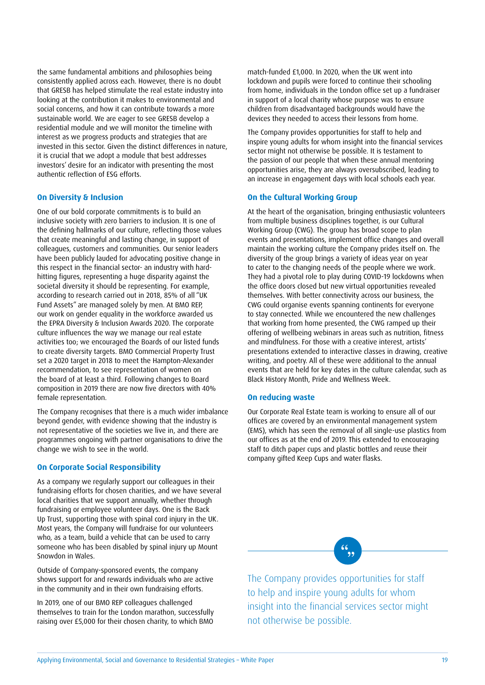the same fundamental ambitions and philosophies being consistently applied across each. However, there is no doubt that GRESB has helped stimulate the real estate industry into looking at the contribution it makes to environmental and social concerns, and how it can contribute towards a more sustainable world. We are eager to see GRESB develop a residential module and we will monitor the timeline with interest as we progress products and strategies that are invested in this sector. Given the distinct differences in nature, it is crucial that we adopt a module that best addresses investors' desire for an indicator with presenting the most authentic reflection of ESG efforts.

#### **On Diversity & Inclusion**

One of our bold corporate commitments is to build an inclusive society with zero barriers to inclusion. It is one of the defining hallmarks of our culture, reflecting those values that create meaningful and lasting change, in support of colleagues, customers and communities. Our senior leaders have been publicly lauded for advocating positive change in this respect in the financial sector- an industry with hardhitting figures, representing a huge disparity against the societal diversity it should be representing. For example, according to research carried out in 2018, 85% of all "UK Fund Assets" are managed solely by men. At BMO REP, our work on gender equality in the workforce awarded us the EPRA Diversity & Inclusion Awards 2020. The corporate culture influences the way we manage our real estate activities too; we encouraged the Boards of our listed funds to create diversity targets. BMO Commercial Property Trust set a 2020 target in 2018 to meet the Hampton-Alexander recommendation, to see representation of women on the board of at least a third. Following changes to Board composition in 2019 there are now five directors with 40% female representation.

The Company recognises that there is a much wider imbalance beyond gender, with evidence showing that the industry is not representative of the societies we live in, and there are programmes ongoing with partner organisations to drive the change we wish to see in the world.

### **On Corporate Social Responsibility**

As a company we regularly support our colleagues in their fundraising efforts for chosen charities, and we have several local charities that we support annually, whether through fundraising or employee volunteer days. One is the Back Up Trust, supporting those with spinal cord injury in the UK. Most years, the Company will fundraise for our volunteers who, as a team, build a vehicle that can be used to carry someone who has been disabled by spinal injury up Mount Snowdon in Wales.

Outside of Company-sponsored events, the company shows support for and rewards individuals who are active in the community and in their own fundraising efforts.

In 2019, one of our BMO REP colleagues challenged themselves to train for the London marathon, successfully raising over £5,000 for their chosen charity, to which BMO match-funded £1,000. In 2020, when the UK went into lockdown and pupils were forced to continue their schooling from home, individuals in the London office set up a fundraiser in support of a local charity whose purpose was to ensure children from disadvantaged backgrounds would have the devices they needed to access their lessons from home.

The Company provides opportunities for staff to help and inspire young adults for whom insight into the financial services sector might not otherwise be possible. It is testament to the passion of our people that when these annual mentoring opportunities arise, they are always oversubscribed, leading to an increase in engagement days with local schools each year.

### **On the Cultural Working Group**

At the heart of the organisation, bringing enthusiastic volunteers from multiple business disciplines together, is our Cultural Working Group (CWG). The group has broad scope to plan events and presentations, implement office changes and overall maintain the working culture the Company prides itself on. The diversity of the group brings a variety of ideas year on year to cater to the changing needs of the people where we work. They had a pivotal role to play during COVID-19 lockdowns when the office doors closed but new virtual opportunities revealed themselves. With better connectivity across our business, the CWG could organise events spanning continents for everyone to stay connected. While we encountered the new challenges that working from home presented, the CWG ramped up their offering of wellbeing webinars in areas such as nutrition, fitness and mindfulness. For those with a creative interest, artists' presentations extended to interactive classes in drawing, creative writing, and poetry. All of these were additional to the annual events that are held for key dates in the culture calendar, such as Black History Month, Pride and Wellness Week.

### **On reducing waste**

Our Corporate Real Estate team is working to ensure all of our offices are covered by an environmental management system (EMS), which has seen the removal of all single-use plastics from our offices as at the end of 2019. This extended to encouraging staff to ditch paper cups and plastic bottles and reuse their company gifted Keep Cups and water flasks.

The Company provides opportunities for staff to help and inspire young adults for whom insight into the financial services sector might not otherwise be possible.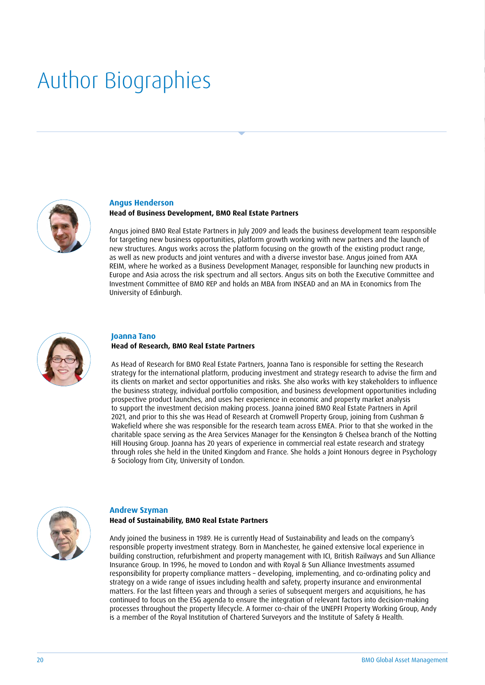## Author Biographies



#### **Angus Henderson**

### **Head of Business Development, BMO Real Estate Partners**

Angus joined BMO Real Estate Partners in July 2009 and leads the business development team responsible for targeting new business opportunities, platform growth working with new partners and the launch of new structures. Angus works across the platform focusing on the growth of the existing product range, as well as new products and joint ventures and with a diverse investor base. Angus joined from AXA REIM, where he worked as a Business Development Manager, responsible for launching new products in Europe and Asia across the risk spectrum and all sectors. Angus sits on both the Executive Committee and Investment Committee of BMO REP and holds an MBA from INSEAD and an MA in Economics from The University of Edinburgh.



### **Joanna Tano Head of Research, BMO Real Estate Partners**

As Head of Research for BMO Real Estate Partners, Joanna Tano is responsible for setting the Research strategy for the international platform, producing investment and strategy research to advise the firm and its clients on market and sector opportunities and risks. She also works with key stakeholders to influence the business strategy, individual portfolio composition, and business development opportunities including prospective product launches, and uses her experience in economic and property market analysis to support the investment decision making process. Joanna joined BMO Real Estate Partners in April 2021, and prior to this she was Head of Research at Cromwell Property Group, joining from Cushman & Wakefield where she was responsible for the research team across EMEA. Prior to that she worked in the charitable space serving as the Area Services Manager for the Kensington & Chelsea branch of the Notting Hill Housing Group. Joanna has 20 years of experience in commercial real estate research and strategy through roles she held in the United Kingdom and France. She holds a Joint Honours degree in Psychology & Sociology from City, University of London.



### **Andrew Szyman Head of Sustainability, BMO Real Estate Partners**

Andy joined the business in 1989. He is currently Head of Sustainability and leads on the company's responsible property investment strategy. Born in Manchester, he gained extensive local experience in building construction, refurbishment and property management with ICI, British Railways and Sun Alliance Insurance Group. In 1996, he moved to London and with Royal & Sun Alliance Investments assumed responsibility for property compliance matters – developing, implementing, and co-ordinating policy and strategy on a wide range of issues including health and safety, property insurance and environmental matters. For the last fifteen years and through a series of subsequent mergers and acquisitions, he has continued to focus on the ESG agenda to ensure the integration of relevant factors into decision-making processes throughout the property lifecycle. A former co-chair of the UNEPFI Property Working Group, Andy is a member of the Royal Institution of Chartered Surveyors and the Institute of Safety & Health.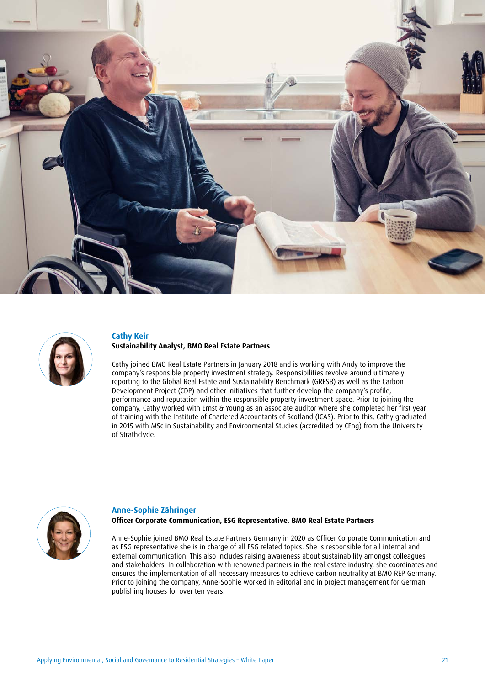



### **Cathy Keir Sustainability Analyst, BMO Real Estate Partners**

Cathy joined BMO Real Estate Partners in January 2018 and is working with Andy to improve the company's responsible property investment strategy. Responsibilities revolve around ultimately reporting to the Global Real Estate and Sustainability Benchmark (GRESB) as well as the Carbon Development Project (CDP) and other initiatives that further develop the company's profile, performance and reputation within the responsible property investment space. Prior to joining the company, Cathy worked with Ernst & Young as an associate auditor where she completed her first year of training with the Institute of Chartered Accountants of Scotland (ICAS). Prior to this, Cathy graduated in 2015 with MSc in Sustainability and Environmental Studies (accredited by CEng) from the University of Strathclyde.



### **Anne-Sophie Zähringer Officer Corporate Communication, ESG Representative, BMO Real Estate Partners**

Anne-Sophie joined BMO Real Estate Partners Germany in 2020 as Officer Corporate Communication and as ESG representative she is in charge of all ESG related topics. She is responsible for all internal and external communication. This also includes raising awareness about sustainability amongst colleagues and stakeholders. In collaboration with renowned partners in the real estate industry, she coordinates and ensures the implementation of all necessary measures to achieve carbon neutrality at BMO REP Germany. Prior to joining the company, Anne-Sophie worked in editorial and in project management for German publishing houses for over ten years.